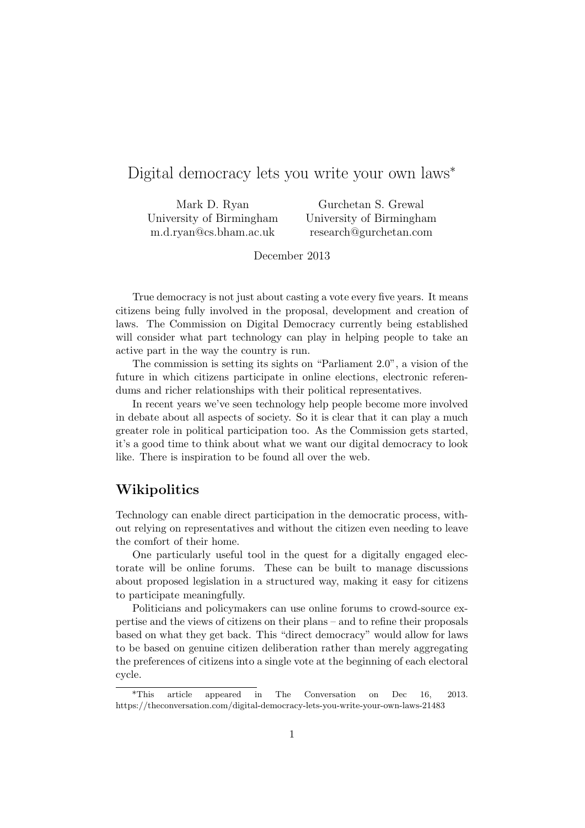# Digital democracy lets you write your own laws*<sup>∗</sup>*

Mark D. Ryan University of Birmingham m.d.ryan@cs.bham.ac.uk

Gurchetan S. Grewal University of Birmingham research@gurchetan.com

December 2013

True democracy is not just about casting a vote every five years. It means citizens being fully involved in the proposal, development and creation of laws. The Commission on Digital Democracy currently being established will consider what part technology can play in helping people to take an active part in the way the country is run.

The commission is setting its sights on "Parliament 2.0", a vision of the future in which citizens participate in online elections, electronic referendums and richer relationships with their political representatives.

In recent years we've seen technology help people become more involved in debate about all aspects of society. So it is clear that it can play a much greater role in political participation too. As the Commission gets started, it's a good time to think about what we want our digital democracy to look like. There is inspiration to be found all over the web.

## **Wikipolitics**

Technology can enable direct participation in the democratic process, without relying on representatives and without the citizen even needing to leave the comfort of their home.

One particularly useful tool in the quest for a digitally engaged electorate will be online forums. These can be built to manage discussions about proposed legislation in a structured way, making it easy for citizens to participate meaningfully.

Politicians and policymakers can use online forums to crowd-source expertise and the views of citizens on their plans – and to refine their proposals based on what they get back. This "direct democracy" would allow for laws to be based on genuine citizen deliberation rather than merely aggregating the preferences of citizens into a single vote at the beginning of each electoral cycle.

<sup>\*</sup>This article appeared in The Conversation on Dec 16, 2013. https://theconversation.com/digital-democracy-lets-you-write-your-own-laws-21483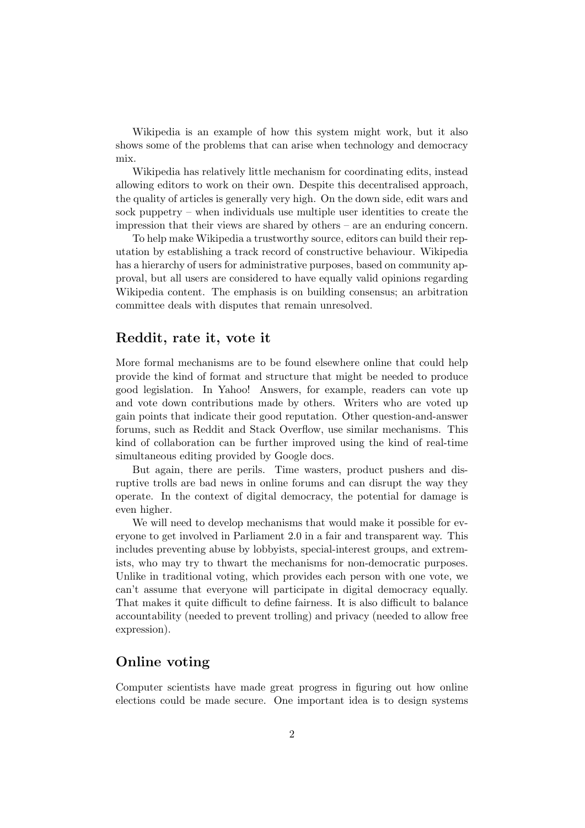Wikipedia is an example of how this system might work, but it also shows some of the problems that can arise when technology and democracy mix.

Wikipedia has relatively little mechanism for coordinating edits, instead allowing editors to work on their own. Despite this decentralised approach, the quality of articles is generally very high. On the down side, edit wars and sock puppetry – when individuals use multiple user identities to create the impression that their views are shared by others – are an enduring concern.

To help make Wikipedia a trustworthy source, editors can build their reputation by establishing a track record of constructive behaviour. Wikipedia has a hierarchy of users for administrative purposes, based on community approval, but all users are considered to have equally valid opinions regarding Wikipedia content. The emphasis is on building consensus; an arbitration committee deals with disputes that remain unresolved.

### **Reddit, rate it, vote it**

More formal mechanisms are to be found elsewhere online that could help provide the kind of format and structure that might be needed to produce good legislation. In Yahoo! Answers, for example, readers can vote up and vote down contributions made by others. Writers who are voted up gain points that indicate their good reputation. Other question-and-answer forums, such as Reddit and Stack Overflow, use similar mechanisms. This kind of collaboration can be further improved using the kind of real-time simultaneous editing provided by Google docs.

But again, there are perils. Time wasters, product pushers and disruptive trolls are bad news in online forums and can disrupt the way they operate. In the context of digital democracy, the potential for damage is even higher.

We will need to develop mechanisms that would make it possible for everyone to get involved in Parliament 2.0 in a fair and transparent way. This includes preventing abuse by lobbyists, special-interest groups, and extremists, who may try to thwart the mechanisms for non-democratic purposes. Unlike in traditional voting, which provides each person with one vote, we can't assume that everyone will participate in digital democracy equally. That makes it quite difficult to define fairness. It is also difficult to balance accountability (needed to prevent trolling) and privacy (needed to allow free expression).

### **Online voting**

Computer scientists have made great progress in figuring out how online elections could be made secure. One important idea is to design systems